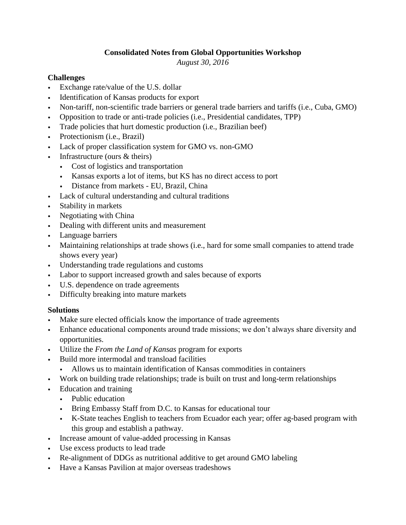## **Consolidated Notes from Global Opportunities Workshop**

*August 30, 2016*

## **Challenges**

- Exchange rate/value of the U.S. dollar
- Identification of Kansas products for export
- Non-tariff, non-scientific trade barriers or general trade barriers and tariffs (i.e., Cuba, GMO)
- Opposition to trade or anti-trade policies (i.e., Presidential candidates, TPP)
- Trade policies that hurt domestic production (i.e., Brazilian beef)
- Protectionism (i.e., Brazil)
- Lack of proper classification system for GMO vs. non-GMO
- Infrastructure (ours  $&$  theirs)
	- Cost of logistics and transportation
	- Kansas exports a lot of items, but KS has no direct access to port
	- Distance from markets EU, Brazil, China
- Lack of cultural understanding and cultural traditions
- Stability in markets
- Negotiating with China
- Dealing with different units and measurement
- Language barriers
- Maintaining relationships at trade shows (i.e., hard for some small companies to attend trade shows every year)
- Understanding trade regulations and customs
- Labor to support increased growth and sales because of exports
- U.S. dependence on trade agreements
- Difficulty breaking into mature markets

## **Solutions**

- Make sure elected officials know the importance of trade agreements
- Enhance educational components around trade missions; we don't always share diversity and opportunities.
- Utilize the *From the Land of Kansas* program for exports
- Build more intermodal and transload facilities
	- Allows us to maintain identification of Kansas commodities in containers
- Work on building trade relationships; trade is built on trust and long-term relationships
- Education and training
	- Public education
	- Bring Embassy Staff from D.C. to Kansas for educational tour
	- K-State teaches English to teachers from Ecuador each year; offer ag-based program with this group and establish a pathway.
- Increase amount of value-added processing in Kansas
- Use excess products to lead trade
- Re-alignment of DDGs as nutritional additive to get around GMO labeling
- Have a Kansas Pavilion at major overseas tradeshows